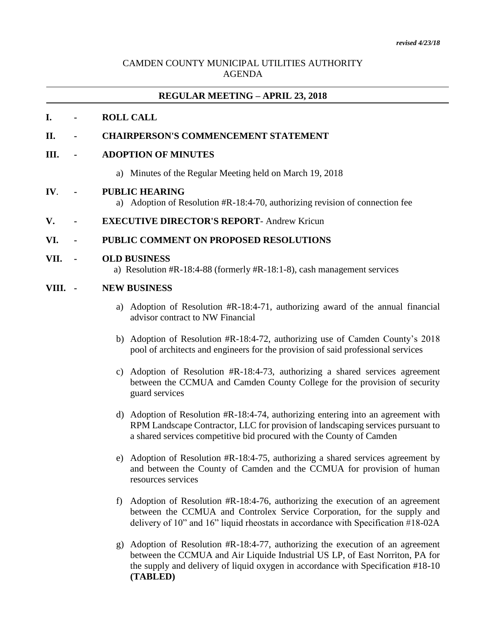# CAMDEN COUNTY MUNICIPAL UTILITIES AUTHORITY AGENDA

# **REGULAR MEETING – APRIL 23, 2018**

# **I. - ROLL CALL**

# **II. - CHAIRPERSON'S COMMENCEMENT STATEMENT**

## **III. - ADOPTION OF MINUTES**

a) Minutes of the Regular Meeting held on March 19, 2018

#### **IV**. **- PUBLIC HEARING**

- a) Adoption of Resolution #R-18:4-70, authorizing revision of connection fee
- **V. - EXECUTIVE DIRECTOR'S REPORT** Andrew Kricun

## **VI. - PUBLIC COMMENT ON PROPOSED RESOLUTIONS**

#### **VII. - OLD BUSINESS**

a) Resolution #R-18:4-88 (formerly #R-18:1-8), cash management services

#### **VIII. - NEW BUSINESS**

- a) Adoption of Resolution #R-18:4-71, authorizing award of the annual financial advisor contract to NW Financial
- b) Adoption of Resolution #R-18:4-72, authorizing use of Camden County's 2018 pool of architects and engineers for the provision of said professional services
- c) Adoption of Resolution #R-18:4-73, authorizing a shared services agreement between the CCMUA and Camden County College for the provision of security guard services
- d) Adoption of Resolution #R-18:4-74, authorizing entering into an agreement with RPM Landscape Contractor, LLC for provision of landscaping services pursuant to a shared services competitive bid procured with the County of Camden
- e) Adoption of Resolution #R-18:4-75, authorizing a shared services agreement by and between the County of Camden and the CCMUA for provision of human resources services
- f) Adoption of Resolution #R-18:4-76, authorizing the execution of an agreement between the CCMUA and Controlex Service Corporation, for the supply and delivery of 10" and 16" liquid rheostats in accordance with Specification #18-02A
- g) Adoption of Resolution #R-18:4-77, authorizing the execution of an agreement between the CCMUA and Air Liquide Industrial US LP, of East Norriton, PA for the supply and delivery of liquid oxygen in accordance with Specification #18-10 **(TABLED)**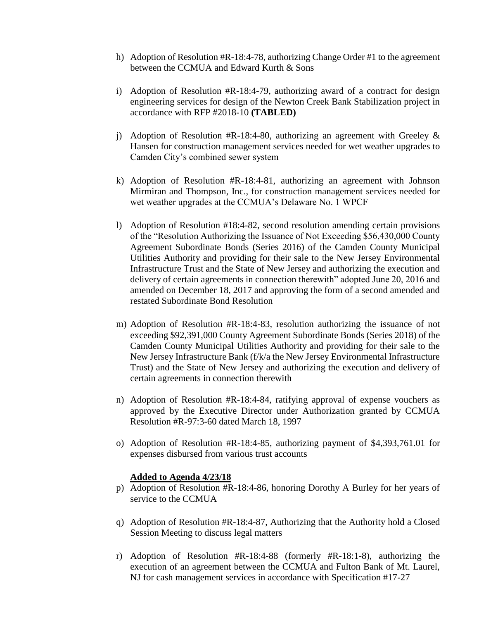- h) Adoption of Resolution #R-18:4-78, authorizing Change Order #1 to the agreement between the CCMUA and Edward Kurth & Sons
- i) Adoption of Resolution #R-18:4-79, authorizing award of a contract for design engineering services for design of the Newton Creek Bank Stabilization project in accordance with RFP #2018-10 **(TABLED)**
- j) Adoption of Resolution #R-18:4-80, authorizing an agreement with Greeley  $\&$ Hansen for construction management services needed for wet weather upgrades to Camden City's combined sewer system
- k) Adoption of Resolution #R-18:4-81, authorizing an agreement with Johnson Mirmiran and Thompson, Inc., for construction management services needed for wet weather upgrades at the CCMUA's Delaware No. 1 WPCF
- l) Adoption of Resolution #18:4-82, second resolution amending certain provisions of the "Resolution Authorizing the Issuance of Not Exceeding \$56,430,000 County Agreement Subordinate Bonds (Series 2016) of the Camden County Municipal Utilities Authority and providing for their sale to the New Jersey Environmental Infrastructure Trust and the State of New Jersey and authorizing the execution and delivery of certain agreements in connection therewith" adopted June 20, 2016 and amended on December 18, 2017 and approving the form of a second amended and restated Subordinate Bond Resolution
- m) Adoption of Resolution #R-18:4-83, resolution authorizing the issuance of not exceeding \$92,391,000 County Agreement Subordinate Bonds (Series 2018) of the Camden County Municipal Utilities Authority and providing for their sale to the New Jersey Infrastructure Bank (f/k/a the New Jersey Environmental Infrastructure Trust) and the State of New Jersey and authorizing the execution and delivery of certain agreements in connection therewith
- n) Adoption of Resolution #R-18:4-84, ratifying approval of expense vouchers as approved by the Executive Director under Authorization granted by CCMUA Resolution #R-97:3-60 dated March 18, 1997
- o) Adoption of Resolution #R-18:4-85, authorizing payment of \$4,393,761.01 for expenses disbursed from various trust accounts

# **Added to Agenda 4/23/18**

- p) Adoption of Resolution #R-18:4-86, honoring Dorothy A Burley for her years of service to the CCMUA
- q) Adoption of Resolution #R-18:4-87, Authorizing that the Authority hold a Closed Session Meeting to discuss legal matters
- r) Adoption of Resolution #R-18:4-88 (formerly #R-18:1-8), authorizing the execution of an agreement between the CCMUA and Fulton Bank of Mt. Laurel, NJ for cash management services in accordance with Specification #17-27